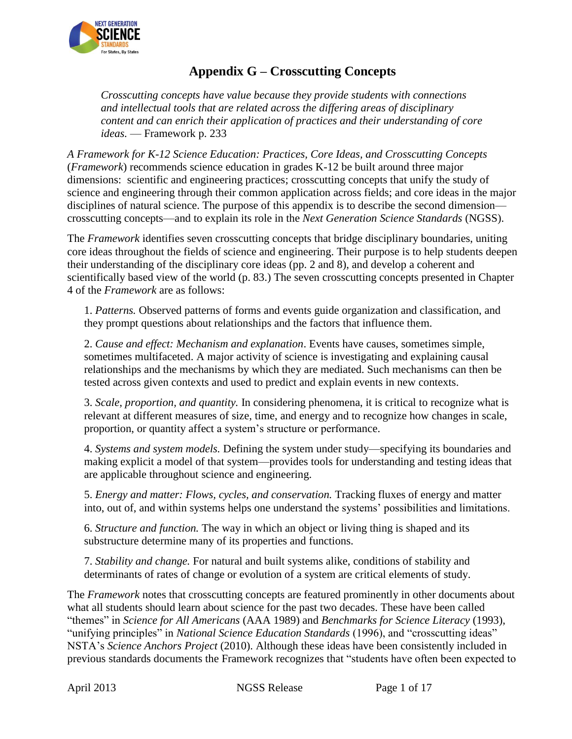

# **Appendix G – Crosscutting Concepts**

*Crosscutting concepts have value because they provide students with connections and intellectual tools that are related across the differing areas of disciplinary content and can enrich their application of practices and their understanding of core ideas.* — Framework p. 233

*A Framework for K-12 Science Education: Practices, Core Ideas, and Crosscutting Concepts* (*Framework*) recommends science education in grades K-12 be built around three major dimensions: scientific and engineering practices; crosscutting concepts that unify the study of science and engineering through their common application across fields; and core ideas in the major disciplines of natural science. The purpose of this appendix is to describe the second dimension crosscutting concepts—and to explain its role in the *Next Generation Science Standards* (NGSS).

The *Framework* identifies seven crosscutting concepts that bridge disciplinary boundaries, uniting core ideas throughout the fields of science and engineering. Their purpose is to help students deepen their understanding of the disciplinary core ideas (pp. 2 and 8), and develop a coherent and scientifically based view of the world (p. 83.) The seven crosscutting concepts presented in Chapter 4 of the *Framework* are as follows:

1. *Patterns.* Observed patterns of forms and events guide organization and classification, and they prompt questions about relationships and the factors that influence them.

2. *Cause and effect: Mechanism and explanation*. Events have causes, sometimes simple, sometimes multifaceted. A major activity of science is investigating and explaining causal relationships and the mechanisms by which they are mediated. Such mechanisms can then be tested across given contexts and used to predict and explain events in new contexts.

3. *Scale, proportion, and quantity.* In considering phenomena, it is critical to recognize what is relevant at different measures of size, time, and energy and to recognize how changes in scale, proportion, or quantity affect a system's structure or performance.

4. *Systems and system models.* Defining the system under study—specifying its boundaries and making explicit a model of that system—provides tools for understanding and testing ideas that are applicable throughout science and engineering.

5. *Energy and matter: Flows, cycles, and conservation.* Tracking fluxes of energy and matter into, out of, and within systems helps one understand the systems' possibilities and limitations.

6. *Structure and function.* The way in which an object or living thing is shaped and its substructure determine many of its properties and functions.

7. *Stability and change.* For natural and built systems alike, conditions of stability and determinants of rates of change or evolution of a system are critical elements of study.

The *Framework* notes that crosscutting concepts are featured prominently in other documents about what all students should learn about science for the past two decades. These have been called "themes" in *Science for All Americans* (AAA 1989) and *Benchmarks for Science Literacy* (1993), "unifying principles" in *National Science Education Standards* (1996), and "crosscutting ideas" NSTA's *Science Anchors Project* (2010). Although these ideas have been consistently included in previous standards documents the Framework recognizes that "students have often been expected to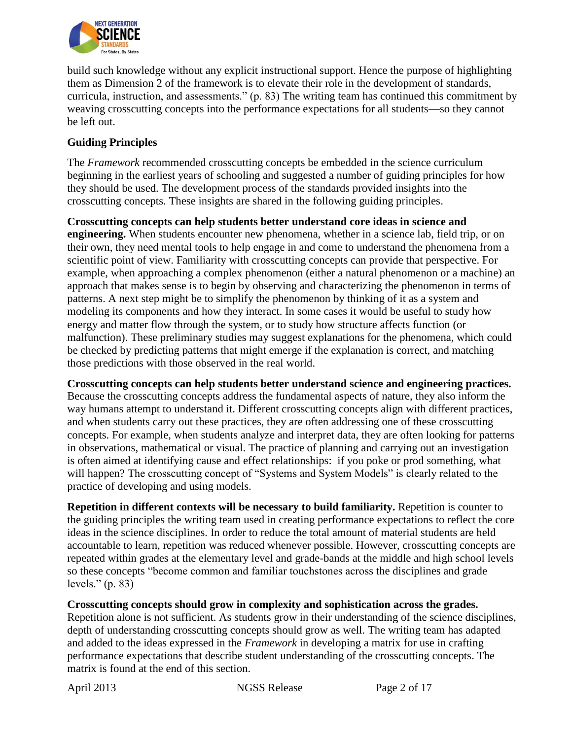

build such knowledge without any explicit instructional support. Hence the purpose of highlighting them as Dimension 2 of the framework is to elevate their role in the development of standards, curricula, instruction, and assessments." (p. 83) The writing team has continued this commitment by weaving crosscutting concepts into the performance expectations for all students—so they cannot be left out.

## **Guiding Principles**

The *Framework* recommended crosscutting concepts be embedded in the science curriculum beginning in the earliest years of schooling and suggested a number of guiding principles for how they should be used. The development process of the standards provided insights into the crosscutting concepts. These insights are shared in the following guiding principles.

**Crosscutting concepts can help students better understand core ideas in science and engineering.** When students encounter new phenomena, whether in a science lab, field trip, or on their own, they need mental tools to help engage in and come to understand the phenomena from a scientific point of view. Familiarity with crosscutting concepts can provide that perspective. For example, when approaching a complex phenomenon (either a natural phenomenon or a machine) an approach that makes sense is to begin by observing and characterizing the phenomenon in terms of patterns. A next step might be to simplify the phenomenon by thinking of it as a system and modeling its components and how they interact. In some cases it would be useful to study how energy and matter flow through the system, or to study how structure affects function (or malfunction). These preliminary studies may suggest explanations for the phenomena, which could be checked by predicting patterns that might emerge if the explanation is correct, and matching those predictions with those observed in the real world.

**Crosscutting concepts can help students better understand science and engineering practices.** Because the crosscutting concepts address the fundamental aspects of nature, they also inform the way humans attempt to understand it. Different crosscutting concepts align with different practices, and when students carry out these practices, they are often addressing one of these crosscutting concepts. For example, when students analyze and interpret data, they are often looking for patterns in observations, mathematical or visual. The practice of planning and carrying out an investigation is often aimed at identifying cause and effect relationships: if you poke or prod something, what will happen? The crosscutting concept of "Systems and System Models" is clearly related to the practice of developing and using models.

**Repetition in different contexts will be necessary to build familiarity.** Repetition is counter to the guiding principles the writing team used in creating performance expectations to reflect the core ideas in the science disciplines. In order to reduce the total amount of material students are held accountable to learn, repetition was reduced whenever possible. However, crosscutting concepts are repeated within grades at the elementary level and grade-bands at the middle and high school levels so these concepts "become common and familiar touchstones across the disciplines and grade levels." (p. 83)

**Crosscutting concepts should grow in complexity and sophistication across the grades.** Repetition alone is not sufficient. As students grow in their understanding of the science disciplines, depth of understanding crosscutting concepts should grow as well. The writing team has adapted and added to the ideas expressed in the *Framework* in developing a matrix for use in crafting performance expectations that describe student understanding of the crosscutting concepts. The matrix is found at the end of this section.

April 2013 NGSS Release Page 2 of 17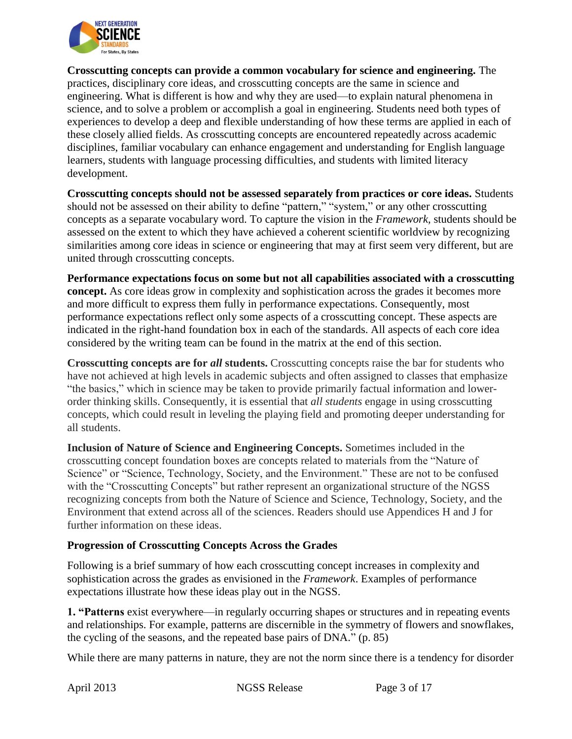

**Crosscutting concepts can provide a common vocabulary for science and engineering.** The practices, disciplinary core ideas, and crosscutting concepts are the same in science and engineering. What is different is how and why they are used—to explain natural phenomena in science, and to solve a problem or accomplish a goal in engineering. Students need both types of experiences to develop a deep and flexible understanding of how these terms are applied in each of these closely allied fields. As crosscutting concepts are encountered repeatedly across academic disciplines, familiar vocabulary can enhance engagement and understanding for English language learners, students with language processing difficulties, and students with limited literacy development.

**Crosscutting concepts should not be assessed separately from practices or core ideas.** Students should not be assessed on their ability to define "pattern," "system," or any other crosscutting concepts as a separate vocabulary word. To capture the vision in the *Framework,* students should be assessed on the extent to which they have achieved a coherent scientific worldview by recognizing similarities among core ideas in science or engineering that may at first seem very different, but are united through crosscutting concepts.

**Performance expectations focus on some but not all capabilities associated with a crosscutting concept.** As core ideas grow in complexity and sophistication across the grades it becomes more and more difficult to express them fully in performance expectations. Consequently, most performance expectations reflect only some aspects of a crosscutting concept. These aspects are indicated in the right-hand foundation box in each of the standards. All aspects of each core idea considered by the writing team can be found in the matrix at the end of this section.

**Crosscutting concepts are for** *all* **students.** Crosscutting concepts raise the bar for students who have not achieved at high levels in academic subjects and often assigned to classes that emphasize "the basics," which in science may be taken to provide primarily factual information and lowerorder thinking skills. Consequently, it is essential that *all students* engage in using crosscutting concepts, which could result in leveling the playing field and promoting deeper understanding for all students.

**Inclusion of Nature of Science and Engineering Concepts.** Sometimes included in the crosscutting concept foundation boxes are concepts related to materials from the "Nature of Science" or "Science, Technology, Society, and the Environment." These are not to be confused with the "Crosscutting Concepts" but rather represent an organizational structure of the NGSS recognizing concepts from both the Nature of Science and Science, Technology, Society, and the Environment that extend across all of the sciences. Readers should use Appendices H and J for further information on these ideas.

### **Progression of Crosscutting Concepts Across the Grades**

Following is a brief summary of how each crosscutting concept increases in complexity and sophistication across the grades as envisioned in the *Framework*. Examples of performance expectations illustrate how these ideas play out in the NGSS.

**1. "Patterns** exist everywhere—in regularly occurring shapes or structures and in repeating events and relationships. For example, patterns are discernible in the symmetry of flowers and snowflakes, the cycling of the seasons, and the repeated base pairs of DNA." (p. 85)

While there are many patterns in nature, they are not the norm since there is a tendency for disorder

April 2013 NGSS Release Page 3 of 17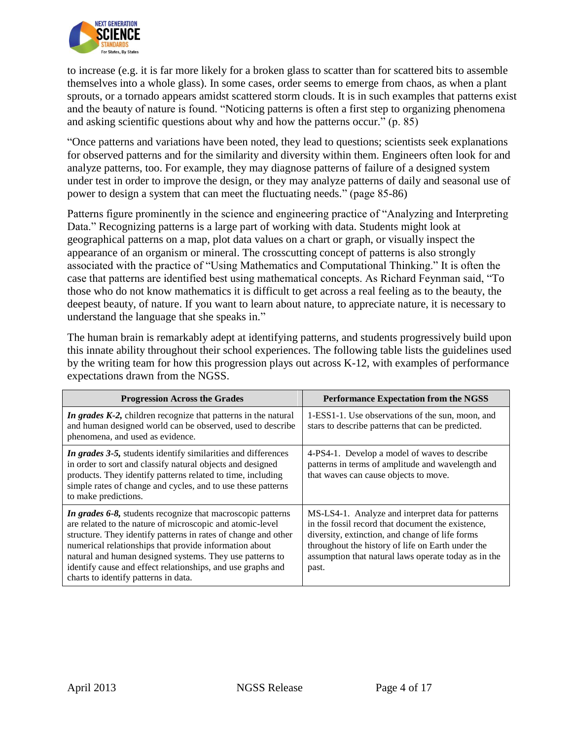

to increase (e.g. it is far more likely for a broken glass to scatter than for scattered bits to assemble themselves into a whole glass). In some cases, order seems to emerge from chaos, as when a plant sprouts, or a tornado appears amidst scattered storm clouds. It is in such examples that patterns exist and the beauty of nature is found. "Noticing patterns is often a first step to organizing phenomena and asking scientific questions about why and how the patterns occur." (p. 85)

"Once patterns and variations have been noted, they lead to questions; scientists seek explanations for observed patterns and for the similarity and diversity within them. Engineers often look for and analyze patterns, too. For example, they may diagnose patterns of failure of a designed system under test in order to improve the design, or they may analyze patterns of daily and seasonal use of power to design a system that can meet the fluctuating needs." (page 85-86)

Patterns figure prominently in the science and engineering practice of "Analyzing and Interpreting Data." Recognizing patterns is a large part of working with data. Students might look at geographical patterns on a map, plot data values on a chart or graph, or visually inspect the appearance of an organism or mineral. The crosscutting concept of patterns is also strongly associated with the practice of "Using Mathematics and Computational Thinking." It is often the case that patterns are identified best using mathematical concepts. As Richard Feynman said, "To those who do not know mathematics it is difficult to get across a real feeling as to the beauty, the deepest beauty, of nature. If you want to learn about nature, to appreciate nature, it is necessary to understand the language that she speaks in."

The human brain is remarkably adept at identifying patterns, and students progressively build upon this innate ability throughout their school experiences. The following table lists the guidelines used by the writing team for how this progression plays out across K-12, with examples of performance expectations drawn from the NGSS.

| <b>Progression Across the Grades</b>                                                                                                                                                                                                                                                                                                                                                                                    | <b>Performance Expectation from the NGSS</b>                                                                                                                                                                                                                                    |  |
|-------------------------------------------------------------------------------------------------------------------------------------------------------------------------------------------------------------------------------------------------------------------------------------------------------------------------------------------------------------------------------------------------------------------------|---------------------------------------------------------------------------------------------------------------------------------------------------------------------------------------------------------------------------------------------------------------------------------|--|
| In grades K-2, children recognize that patterns in the natural<br>and human designed world can be observed, used to describe<br>phenomena, and used as evidence.                                                                                                                                                                                                                                                        | 1-ESS1-1. Use observations of the sun, moon, and<br>stars to describe patterns that can be predicted.                                                                                                                                                                           |  |
| In grades 3-5, students identify similarities and differences<br>in order to sort and classify natural objects and designed<br>products. They identify patterns related to time, including<br>simple rates of change and cycles, and to use these patterns<br>to make predictions.                                                                                                                                      | 4-PS4-1. Develop a model of waves to describe<br>patterns in terms of amplitude and wavelength and<br>that waves can cause objects to move.                                                                                                                                     |  |
| In grades 6-8, students recognize that macroscopic patterns<br>are related to the nature of microscopic and atomic-level<br>structure. They identify patterns in rates of change and other<br>numerical relationships that provide information about<br>natural and human designed systems. They use patterns to<br>identify cause and effect relationships, and use graphs and<br>charts to identify patterns in data. | MS-LS4-1. Analyze and interpret data for patterns<br>in the fossil record that document the existence,<br>diversity, extinction, and change of life forms<br>throughout the history of life on Earth under the<br>assumption that natural laws operate today as in the<br>past. |  |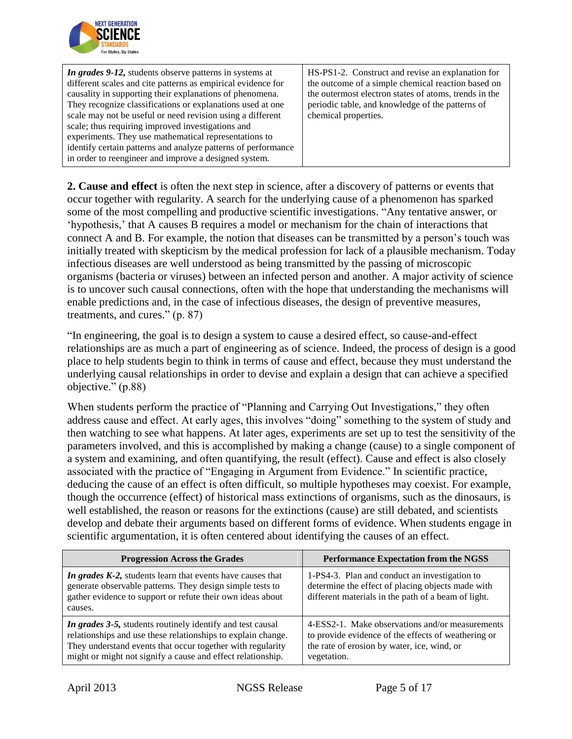

| In grades 9-12, students observe patterns in systems at<br>different scales and cite patterns as empirical evidence for<br>causality in supporting their explanations of phenomena.<br>They recognize classifications or explanations used at one<br>scale may not be useful or need revision using a different<br>scale; thus requiring improved investigations and<br>experiments. They use mathematical representations to<br>identify certain patterns and analyze patterns of performance | HS-PS1-2. Construct and revise an explanation for<br>the outcome of a simple chemical reaction based on<br>the outermost electron states of atoms, trends in the<br>periodic table, and knowledge of the patterns of<br>chemical properties. |
|------------------------------------------------------------------------------------------------------------------------------------------------------------------------------------------------------------------------------------------------------------------------------------------------------------------------------------------------------------------------------------------------------------------------------------------------------------------------------------------------|----------------------------------------------------------------------------------------------------------------------------------------------------------------------------------------------------------------------------------------------|
| in order to reengineer and improve a designed system.                                                                                                                                                                                                                                                                                                                                                                                                                                          |                                                                                                                                                                                                                                              |

**2. Cause and effect** is often the next step in science, after a discovery of patterns or events that occur together with regularity. A search for the underlying cause of a phenomenon has sparked some of the most compelling and productive scientific investigations. "Any tentative answer, or 'hypothesis,' that A causes B requires a model or mechanism for the chain of interactions that connect A and B. For example, the notion that diseases can be transmitted by a person's touch was initially treated with skepticism by the medical profession for lack of a plausible mechanism. Today infectious diseases are well understood as being transmitted by the passing of microscopic organisms (bacteria or viruses) between an infected person and another. A major activity of science is to uncover such causal connections, often with the hope that understanding the mechanisms will enable predictions and, in the case of infectious diseases, the design of preventive measures, treatments, and cures." (p. 87)

"In engineering, the goal is to design a system to cause a desired effect, so cause-and-effect relationships are as much a part of engineering as of science. Indeed, the process of design is a good place to help students begin to think in terms of cause and effect, because they must understand the underlying causal relationships in order to devise and explain a design that can achieve a specified objective." (p.88)

When students perform the practice of "Planning and Carrying Out Investigations," they often address cause and effect. At early ages, this involves "doing" something to the system of study and then watching to see what happens. At later ages, experiments are set up to test the sensitivity of the parameters involved, and this is accomplished by making a change (cause) to a single component of a system and examining, and often quantifying, the result (effect). Cause and effect is also closely associated with the practice of "Engaging in Argument from Evidence." In scientific practice, deducing the cause of an effect is often difficult, so multiple hypotheses may coexist. For example, though the occurrence (effect) of historical mass extinctions of organisms, such as the dinosaurs, is well established, the reason or reasons for the extinctions (cause) are still debated, and scientists develop and debate their arguments based on different forms of evidence. When students engage in scientific argumentation, it is often centered about identifying the causes of an effect.

| <b>Progression Across the Grades</b>                                                                                                                                                                                                                    | <b>Performance Expectation from the NGSS</b>                                                                                                                         |
|---------------------------------------------------------------------------------------------------------------------------------------------------------------------------------------------------------------------------------------------------------|----------------------------------------------------------------------------------------------------------------------------------------------------------------------|
| In grades K-2, students learn that events have causes that<br>generate observable patterns. They design simple tests to<br>gather evidence to support or refute their own ideas about<br>causes.                                                        | 1-PS4-3. Plan and conduct an investigation to<br>determine the effect of placing objects made with<br>different materials in the path of a beam of light.            |
| In grades 3-5, students routinely identify and test causal<br>relationships and use these relationships to explain change.<br>They understand events that occur together with regularity<br>might or might not signify a cause and effect relationship. | 4-ESS2-1. Make observations and/or measurements<br>to provide evidence of the effects of weathering or<br>the rate of erosion by water, ice, wind, or<br>vegetation. |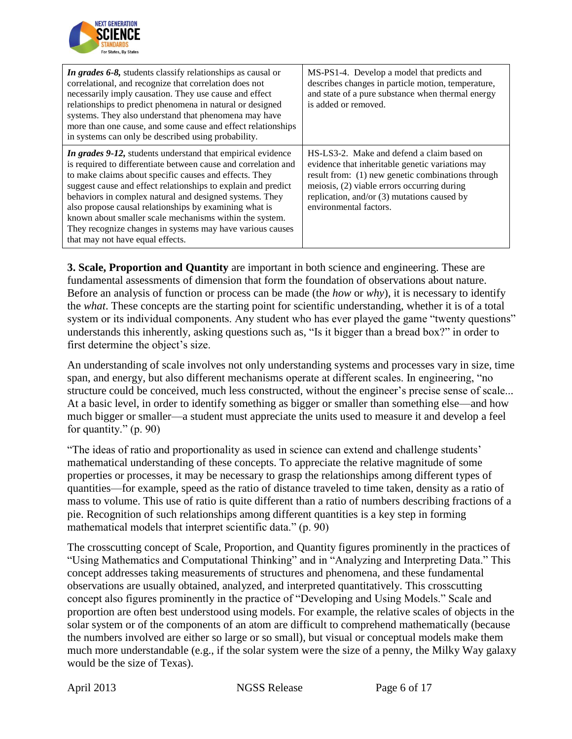

| In grades 6-8, students classify relationships as causal or<br>correlational, and recognize that correlation does not<br>necessarily imply causation. They use cause and effect<br>relationships to predict phenomena in natural or designed<br>systems. They also understand that phenomena may have<br>more than one cause, and some cause and effect relationships<br>in systems can only be described using probability.                                                                                                                      | MS-PS1-4. Develop a model that predicts and<br>describes changes in particle motion, temperature,<br>and state of a pure substance when thermal energy<br>is added or removed.                                                                                                |
|---------------------------------------------------------------------------------------------------------------------------------------------------------------------------------------------------------------------------------------------------------------------------------------------------------------------------------------------------------------------------------------------------------------------------------------------------------------------------------------------------------------------------------------------------|-------------------------------------------------------------------------------------------------------------------------------------------------------------------------------------------------------------------------------------------------------------------------------|
| <i>In grades 9-12</i> , students understand that empirical evidence<br>is required to differentiate between cause and correlation and<br>to make claims about specific causes and effects. They<br>suggest cause and effect relationships to explain and predict<br>behaviors in complex natural and designed systems. They<br>also propose causal relationships by examining what is<br>known about smaller scale mechanisms within the system.<br>They recognize changes in systems may have various causes<br>that may not have equal effects. | HS-LS3-2. Make and defend a claim based on<br>evidence that inheritable genetic variations may<br>result from: (1) new genetic combinations through<br>meiosis, (2) viable errors occurring during<br>replication, and/or $(3)$ mutations caused by<br>environmental factors. |

**3. Scale, Proportion and Quantity** are important in both science and engineering. These are fundamental assessments of dimension that form the foundation of observations about nature. Before an analysis of function or process can be made (the *how* or *why*), it is necessary to identify the *what*. These concepts are the starting point for scientific understanding, whether it is of a total system or its individual components. Any student who has ever played the game "twenty questions" understands this inherently, asking questions such as, "Is it bigger than a bread box?" in order to first determine the object's size.

An understanding of scale involves not only understanding systems and processes vary in size, time span, and energy, but also different mechanisms operate at different scales. In engineering, "no structure could be conceived, much less constructed, without the engineer's precise sense of scale... At a basic level, in order to identify something as bigger or smaller than something else—and how much bigger or smaller—a student must appreciate the units used to measure it and develop a feel for quantity." (p. 90)

"The ideas of ratio and proportionality as used in science can extend and challenge students' mathematical understanding of these concepts. To appreciate the relative magnitude of some properties or processes, it may be necessary to grasp the relationships among different types of quantities—for example, speed as the ratio of distance traveled to time taken, density as a ratio of mass to volume. This use of ratio is quite different than a ratio of numbers describing fractions of a pie. Recognition of such relationships among different quantities is a key step in forming mathematical models that interpret scientific data." (p. 90)

The crosscutting concept of Scale, Proportion, and Quantity figures prominently in the practices of "Using Mathematics and Computational Thinking" and in "Analyzing and Interpreting Data." This concept addresses taking measurements of structures and phenomena, and these fundamental observations are usually obtained, analyzed, and interpreted quantitatively. This crosscutting concept also figures prominently in the practice of "Developing and Using Models." Scale and proportion are often best understood using models. For example, the relative scales of objects in the solar system or of the components of an atom are difficult to comprehend mathematically (because the numbers involved are either so large or so small), but visual or conceptual models make them much more understandable (e.g., if the solar system were the size of a penny, the Milky Way galaxy would be the size of Texas).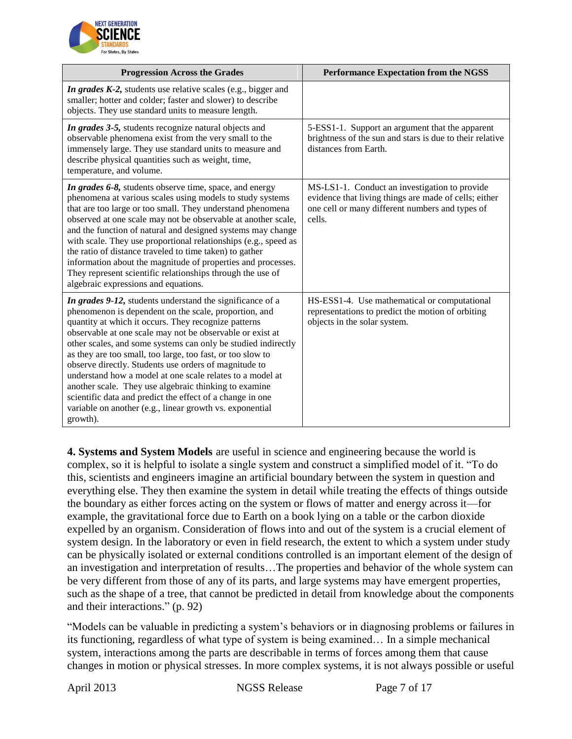

| <b>Progression Across the Grades</b>                                                                                                                                                                                                                                                                                                                                                                                                                                                                                                                                                                                                                                                       | <b>Performance Expectation from the NGSS</b>                                                                                                                        |  |  |
|--------------------------------------------------------------------------------------------------------------------------------------------------------------------------------------------------------------------------------------------------------------------------------------------------------------------------------------------------------------------------------------------------------------------------------------------------------------------------------------------------------------------------------------------------------------------------------------------------------------------------------------------------------------------------------------------|---------------------------------------------------------------------------------------------------------------------------------------------------------------------|--|--|
| In grades K-2, students use relative scales (e.g., bigger and<br>smaller; hotter and colder; faster and slower) to describe<br>objects. They use standard units to measure length.                                                                                                                                                                                                                                                                                                                                                                                                                                                                                                         |                                                                                                                                                                     |  |  |
| In grades 3-5, students recognize natural objects and<br>observable phenomena exist from the very small to the<br>immensely large. They use standard units to measure and<br>describe physical quantities such as weight, time,<br>temperature, and volume.                                                                                                                                                                                                                                                                                                                                                                                                                                | 5-ESS1-1. Support an argument that the apparent<br>brightness of the sun and stars is due to their relative<br>distances from Earth.                                |  |  |
| In grades 6-8, students observe time, space, and energy<br>phenomena at various scales using models to study systems<br>that are too large or too small. They understand phenomena<br>observed at one scale may not be observable at another scale,<br>and the function of natural and designed systems may change<br>with scale. They use proportional relationships (e.g., speed as<br>the ratio of distance traveled to time taken) to gather<br>information about the magnitude of properties and processes.<br>They represent scientific relationships through the use of<br>algebraic expressions and equations.                                                                     | MS-LS1-1. Conduct an investigation to provide<br>evidence that living things are made of cells; either<br>one cell or many different numbers and types of<br>cells. |  |  |
| In grades 9-12, students understand the significance of a<br>phenomenon is dependent on the scale, proportion, and<br>quantity at which it occurs. They recognize patterns<br>observable at one scale may not be observable or exist at<br>other scales, and some systems can only be studied indirectly<br>as they are too small, too large, too fast, or too slow to<br>observe directly. Students use orders of magnitude to<br>understand how a model at one scale relates to a model at<br>another scale. They use algebraic thinking to examine<br>scientific data and predict the effect of a change in one<br>variable on another (e.g., linear growth vs. exponential<br>growth). | HS-ESS1-4. Use mathematical or computational<br>representations to predict the motion of orbiting<br>objects in the solar system.                                   |  |  |

**4. Systems and System Models** are useful in science and engineering because the world is complex, so it is helpful to isolate a single system and construct a simplified model of it. "To do this, scientists and engineers imagine an artificial boundary between the system in question and everything else. They then examine the system in detail while treating the effects of things outside the boundary as either forces acting on the system or flows of matter and energy across it—for example, the gravitational force due to Earth on a book lying on a table or the carbon dioxide expelled by an organism. Consideration of flows into and out of the system is a crucial element of system design. In the laboratory or even in field research, the extent to which a system under study can be physically isolated or external conditions controlled is an important element of the design of an investigation and interpretation of results…The properties and behavior of the whole system can be very different from those of any of its parts, and large systems may have emergent properties, such as the shape of a tree, that cannot be predicted in detail from knowledge about the components and their interactions." (p. 92)

"Models can be valuable in predicting a system's behaviors or in diagnosing problems or failures in its functioning, regardless of what type of system is being examined… In a simple mechanical system, interactions among the parts are describable in terms of forces among them that cause changes in motion or physical stresses. In more complex systems, it is not always possible or useful

April 2013 NGSS Release Page 7 of 17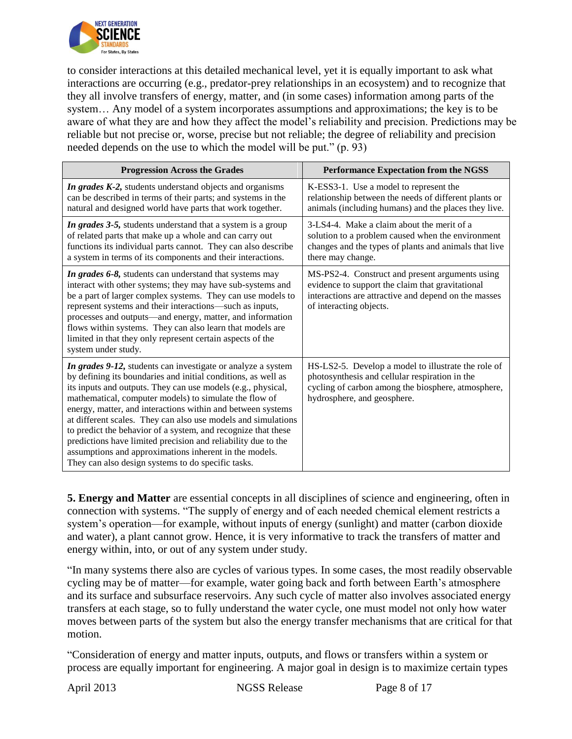

to consider interactions at this detailed mechanical level, yet it is equally important to ask what interactions are occurring (e.g., predator-prey relationships in an ecosystem) and to recognize that they all involve transfers of energy, matter, and (in some cases) information among parts of the system… Any model of a system incorporates assumptions and approximations; the key is to be aware of what they are and how they affect the model's reliability and precision. Predictions may be reliable but not precise or, worse, precise but not reliable; the degree of reliability and precision needed depends on the use to which the model will be put." (p. 93)

| <b>Progression Across the Grades</b>                                                                                                                                                                                                                                                                                                                                                                                                                                                                                                                                                                                                      | <b>Performance Expectation from the NGSS</b>                                                                                                                                               |  |
|-------------------------------------------------------------------------------------------------------------------------------------------------------------------------------------------------------------------------------------------------------------------------------------------------------------------------------------------------------------------------------------------------------------------------------------------------------------------------------------------------------------------------------------------------------------------------------------------------------------------------------------------|--------------------------------------------------------------------------------------------------------------------------------------------------------------------------------------------|--|
| In grades K-2, students understand objects and organisms<br>can be described in terms of their parts; and systems in the<br>natural and designed world have parts that work together.                                                                                                                                                                                                                                                                                                                                                                                                                                                     | K-ESS3-1. Use a model to represent the<br>relationship between the needs of different plants or<br>animals (including humans) and the places they live.                                    |  |
| In grades 3-5, students understand that a system is a group<br>of related parts that make up a whole and can carry out<br>functions its individual parts cannot. They can also describe<br>a system in terms of its components and their interactions.                                                                                                                                                                                                                                                                                                                                                                                    | 3-LS4-4. Make a claim about the merit of a<br>solution to a problem caused when the environment<br>changes and the types of plants and animals that live<br>there may change.              |  |
| In grades 6-8, students can understand that systems may<br>interact with other systems; they may have sub-systems and<br>be a part of larger complex systems. They can use models to<br>represent systems and their interactions—such as inputs,<br>processes and outputs—and energy, matter, and information<br>flows within systems. They can also learn that models are<br>limited in that they only represent certain aspects of the<br>system under study.                                                                                                                                                                           | MS-PS2-4. Construct and present arguments using<br>evidence to support the claim that gravitational<br>interactions are attractive and depend on the masses<br>of interacting objects.     |  |
| In grades 9-12, students can investigate or analyze a system<br>by defining its boundaries and initial conditions, as well as<br>its inputs and outputs. They can use models (e.g., physical,<br>mathematical, computer models) to simulate the flow of<br>energy, matter, and interactions within and between systems<br>at different scales. They can also use models and simulations<br>to predict the behavior of a system, and recognize that these<br>predictions have limited precision and reliability due to the<br>assumptions and approximations inherent in the models.<br>They can also design systems to do specific tasks. | HS-LS2-5. Develop a model to illustrate the role of<br>photosynthesis and cellular respiration in the<br>cycling of carbon among the biosphere, atmosphere,<br>hydrosphere, and geosphere. |  |

**5. Energy and Matter** are essential concepts in all disciplines of science and engineering, often in connection with systems. "The supply of energy and of each needed chemical element restricts a system's operation—for example, without inputs of energy (sunlight) and matter (carbon dioxide and water), a plant cannot grow. Hence, it is very informative to track the transfers of matter and energy within, into, or out of any system under study.

"In many systems there also are cycles of various types. In some cases, the most readily observable cycling may be of matter—for example, water going back and forth between Earth's atmosphere and its surface and subsurface reservoirs. Any such cycle of matter also involves associated energy transfers at each stage, so to fully understand the water cycle, one must model not only how water moves between parts of the system but also the energy transfer mechanisms that are critical for that motion.

"Consideration of energy and matter inputs, outputs, and flows or transfers within a system or process are equally important for engineering. A major goal in design is to maximize certain types

April 2013 NGSS Release Page 8 of 17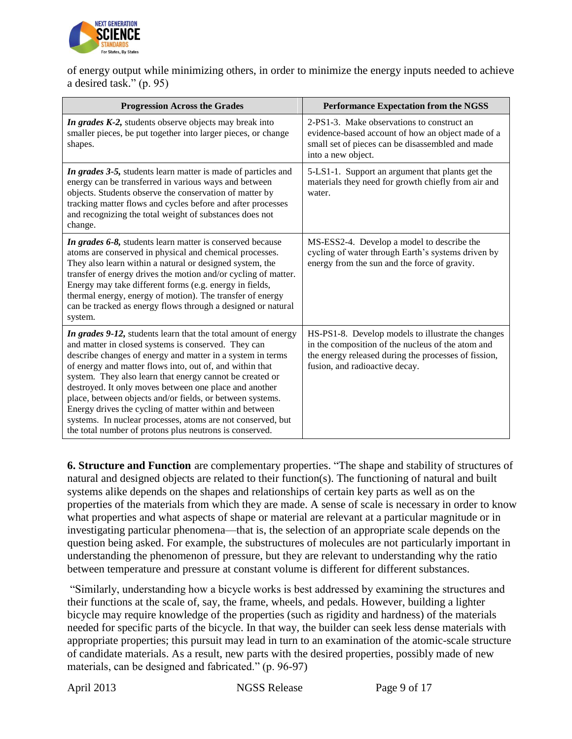

of energy output while minimizing others, in order to minimize the energy inputs needed to achieve a desired task." (p. 95)

| <b>Progression Across the Grades</b>                                                                                                                                                                                                                                                                                                                                                                                                                                                                                                                                                                                   | <b>Performance Expectation from the NGSS</b>                                                                                                                                                      |  |
|------------------------------------------------------------------------------------------------------------------------------------------------------------------------------------------------------------------------------------------------------------------------------------------------------------------------------------------------------------------------------------------------------------------------------------------------------------------------------------------------------------------------------------------------------------------------------------------------------------------------|---------------------------------------------------------------------------------------------------------------------------------------------------------------------------------------------------|--|
| In grades K-2, students observe objects may break into<br>smaller pieces, be put together into larger pieces, or change<br>shapes.                                                                                                                                                                                                                                                                                                                                                                                                                                                                                     | 2-PS1-3. Make observations to construct an<br>evidence-based account of how an object made of a<br>small set of pieces can be disassembled and made<br>into a new object.                         |  |
| In grades 3-5, students learn matter is made of particles and<br>energy can be transferred in various ways and between<br>objects. Students observe the conservation of matter by<br>tracking matter flows and cycles before and after processes<br>and recognizing the total weight of substances does not<br>change.                                                                                                                                                                                                                                                                                                 | 5-LS1-1. Support an argument that plants get the<br>materials they need for growth chiefly from air and<br>water.                                                                                 |  |
| In grades 6-8, students learn matter is conserved because<br>atoms are conserved in physical and chemical processes.<br>They also learn within a natural or designed system, the<br>transfer of energy drives the motion and/or cycling of matter.<br>Energy may take different forms (e.g. energy in fields,<br>thermal energy, energy of motion). The transfer of energy<br>can be tracked as energy flows through a designed or natural<br>system.                                                                                                                                                                  | MS-ESS2-4. Develop a model to describe the<br>cycling of water through Earth's systems driven by<br>energy from the sun and the force of gravity.                                                 |  |
| In grades 9-12, students learn that the total amount of energy<br>and matter in closed systems is conserved. They can<br>describe changes of energy and matter in a system in terms<br>of energy and matter flows into, out of, and within that<br>system. They also learn that energy cannot be created or<br>destroyed. It only moves between one place and another<br>place, between objects and/or fields, or between systems.<br>Energy drives the cycling of matter within and between<br>systems. In nuclear processes, atoms are not conserved, but<br>the total number of protons plus neutrons is conserved. | HS-PS1-8. Develop models to illustrate the changes<br>in the composition of the nucleus of the atom and<br>the energy released during the processes of fission,<br>fusion, and radioactive decay. |  |

**6. Structure and Function** are complementary properties. "The shape and stability of structures of natural and designed objects are related to their function(s). The functioning of natural and built systems alike depends on the shapes and relationships of certain key parts as well as on the properties of the materials from which they are made. A sense of scale is necessary in order to know what properties and what aspects of shape or material are relevant at a particular magnitude or in investigating particular phenomena—that is, the selection of an appropriate scale depends on the question being asked. For example, the substructures of molecules are not particularly important in understanding the phenomenon of pressure, but they are relevant to understanding why the ratio between temperature and pressure at constant volume is different for different substances.

"Similarly, understanding how a bicycle works is best addressed by examining the structures and their functions at the scale of, say, the frame, wheels, and pedals. However, building a lighter bicycle may require knowledge of the properties (such as rigidity and hardness) of the materials needed for specific parts of the bicycle. In that way, the builder can seek less dense materials with appropriate properties; this pursuit may lead in turn to an examination of the atomic-scale structure of candidate materials. As a result, new parts with the desired properties, possibly made of new materials, can be designed and fabricated." (p. 96-97)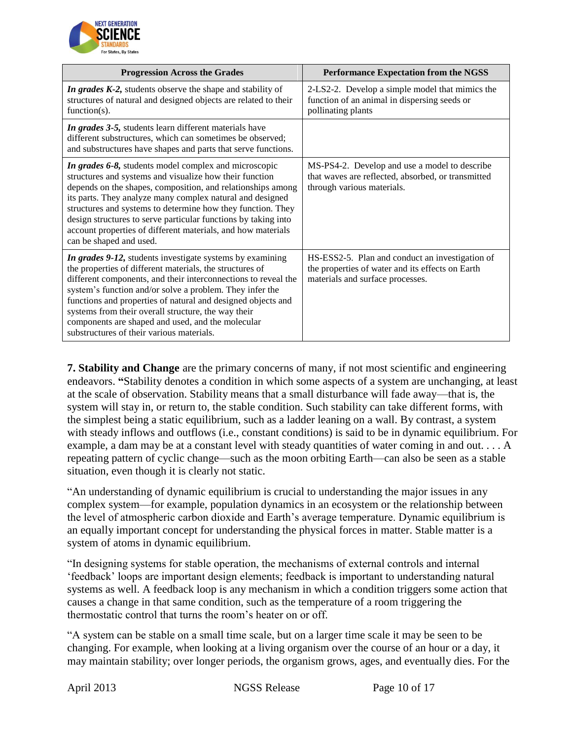

| <b>Progression Across the Grades</b>                                                                                                                                                                                                                                                                                                                                                                                                                                         | <b>Performance Expectation from the NGSS</b>                                                                                            |  |
|------------------------------------------------------------------------------------------------------------------------------------------------------------------------------------------------------------------------------------------------------------------------------------------------------------------------------------------------------------------------------------------------------------------------------------------------------------------------------|-----------------------------------------------------------------------------------------------------------------------------------------|--|
| In grades K-2, students observe the shape and stability of<br>structures of natural and designed objects are related to their<br>function( $s$ ).                                                                                                                                                                                                                                                                                                                            | 2-LS2-2. Develop a simple model that mimics the<br>function of an animal in dispersing seeds or<br>pollinating plants                   |  |
| In grades 3-5, students learn different materials have<br>different substructures, which can sometimes be observed;<br>and substructures have shapes and parts that serve functions.                                                                                                                                                                                                                                                                                         |                                                                                                                                         |  |
| In grades 6-8, students model complex and microscopic<br>structures and systems and visualize how their function<br>depends on the shapes, composition, and relationships among<br>its parts. They analyze many complex natural and designed<br>structures and systems to determine how they function. They<br>design structures to serve particular functions by taking into<br>account properties of different materials, and how materials<br>can be shaped and used.     | MS-PS4-2. Develop and use a model to describe<br>that waves are reflected, absorbed, or transmitted<br>through various materials.       |  |
| In grades 9-12, students investigate systems by examining<br>the properties of different materials, the structures of<br>different components, and their interconnections to reveal the<br>system's function and/or solve a problem. They infer the<br>functions and properties of natural and designed objects and<br>systems from their overall structure, the way their<br>components are shaped and used, and the molecular<br>substructures of their various materials. | HS-ESS2-5. Plan and conduct an investigation of<br>the properties of water and its effects on Earth<br>materials and surface processes. |  |

**7. Stability and Change** are the primary concerns of many, if not most scientific and engineering endeavors. **"**Stability denotes a condition in which some aspects of a system are unchanging, at least at the scale of observation. Stability means that a small disturbance will fade away—that is, the system will stay in, or return to, the stable condition. Such stability can take different forms, with the simplest being a static equilibrium, such as a ladder leaning on a wall. By contrast, a system with steady inflows and outflows (i.e., constant conditions) is said to be in dynamic equilibrium. For example, a dam may be at a constant level with steady quantities of water coming in and out. . . . A repeating pattern of cyclic change—such as the moon orbiting Earth—can also be seen as a stable situation, even though it is clearly not static.

"An understanding of dynamic equilibrium is crucial to understanding the major issues in any complex system—for example, population dynamics in an ecosystem or the relationship between the level of atmospheric carbon dioxide and Earth's average temperature. Dynamic equilibrium is an equally important concept for understanding the physical forces in matter. Stable matter is a system of atoms in dynamic equilibrium.

"In designing systems for stable operation, the mechanisms of external controls and internal 'feedback' loops are important design elements; feedback is important to understanding natural systems as well. A feedback loop is any mechanism in which a condition triggers some action that causes a change in that same condition, such as the temperature of a room triggering the thermostatic control that turns the room's heater on or off.

"A system can be stable on a small time scale, but on a larger time scale it may be seen to be changing. For example, when looking at a living organism over the course of an hour or a day, it may maintain stability; over longer periods, the organism grows, ages, and eventually dies. For the

April 2013 NGSS Release Page 10 of 17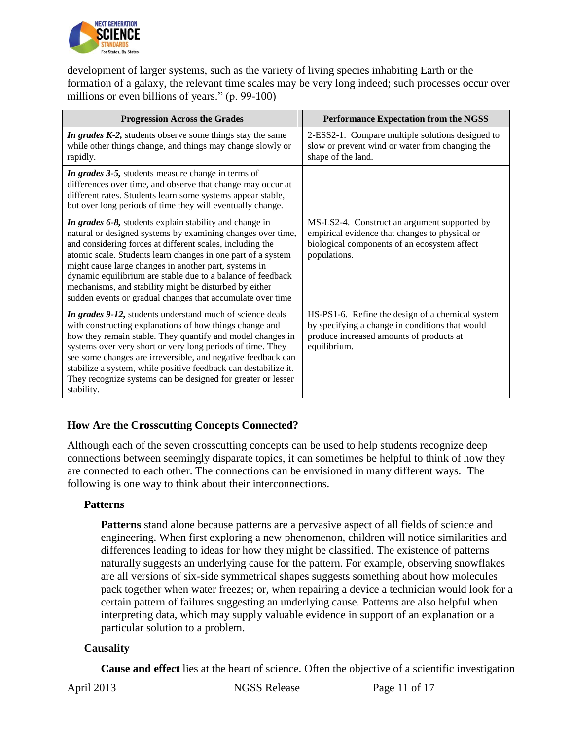

development of larger systems, such as the variety of living species inhabiting Earth or the formation of a galaxy, the relevant time scales may be very long indeed; such processes occur over millions or even billions of years." (p. 99-100)

| <b>Progression Across the Grades</b>                                                                                                                                                                                                                                                                                                                                                                                                                                                                | <b>Performance Expectation from the NGSS</b>                                                                                                                    |  |
|-----------------------------------------------------------------------------------------------------------------------------------------------------------------------------------------------------------------------------------------------------------------------------------------------------------------------------------------------------------------------------------------------------------------------------------------------------------------------------------------------------|-----------------------------------------------------------------------------------------------------------------------------------------------------------------|--|
| <i>In grades K-2</i> , students observe some things stay the same<br>while other things change, and things may change slowly or<br>rapidly.                                                                                                                                                                                                                                                                                                                                                         | 2-ESS2-1. Compare multiple solutions designed to<br>slow or prevent wind or water from changing the<br>shape of the land.                                       |  |
| In grades 3-5, students measure change in terms of<br>differences over time, and observe that change may occur at<br>different rates. Students learn some systems appear stable,<br>but over long periods of time they will eventually change.                                                                                                                                                                                                                                                      |                                                                                                                                                                 |  |
| In grades 6-8, students explain stability and change in<br>natural or designed systems by examining changes over time,<br>and considering forces at different scales, including the<br>atomic scale. Students learn changes in one part of a system<br>might cause large changes in another part, systems in<br>dynamic equilibrium are stable due to a balance of feedback<br>mechanisms, and stability might be disturbed by either<br>sudden events or gradual changes that accumulate over time | MS-LS2-4. Construct an argument supported by<br>empirical evidence that changes to physical or<br>biological components of an ecosystem affect<br>populations.  |  |
| In grades 9-12, students understand much of science deals<br>with constructing explanations of how things change and<br>how they remain stable. They quantify and model changes in<br>systems over very short or very long periods of time. They<br>see some changes are irreversible, and negative feedback can<br>stabilize a system, while positive feedback can destabilize it.<br>They recognize systems can be designed for greater or lesser<br>stability.                                   | HS-PS1-6. Refine the design of a chemical system<br>by specifying a change in conditions that would<br>produce increased amounts of products at<br>equilibrium. |  |

### **How Are the Crosscutting Concepts Connected?**

Although each of the seven crosscutting concepts can be used to help students recognize deep connections between seemingly disparate topics, it can sometimes be helpful to think of how they are connected to each other. The connections can be envisioned in many different ways. The following is one way to think about their interconnections.

#### **Patterns**

**Patterns** stand alone because patterns are a pervasive aspect of all fields of science and engineering. When first exploring a new phenomenon, children will notice similarities and differences leading to ideas for how they might be classified. The existence of patterns naturally suggests an underlying cause for the pattern. For example, observing snowflakes are all versions of six-side symmetrical shapes suggests something about how molecules pack together when water freezes; or, when repairing a device a technician would look for a certain pattern of failures suggesting an underlying cause. Patterns are also helpful when interpreting data, which may supply valuable evidence in support of an explanation or a particular solution to a problem.

#### **Causality**

**Cause and effect** lies at the heart of science. Often the objective of a scientific investigation

April 2013 NGSS Release Page 11 of 17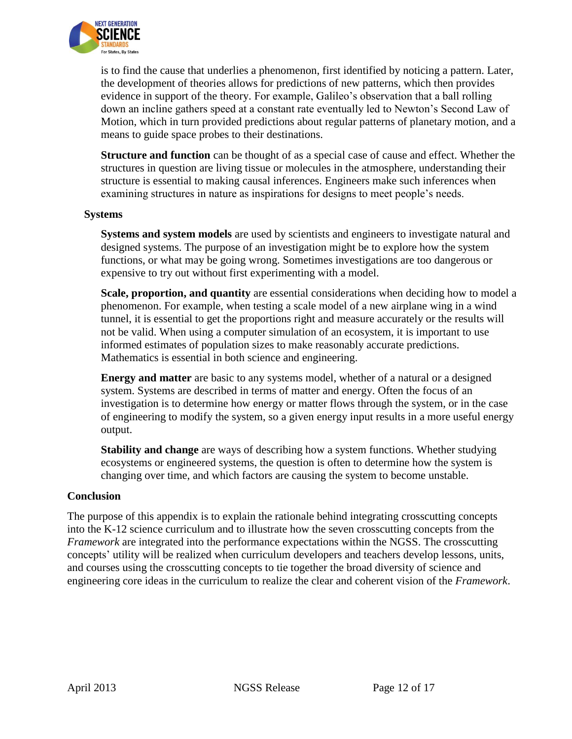

is to find the cause that underlies a phenomenon, first identified by noticing a pattern. Later, the development of theories allows for predictions of new patterns, which then provides evidence in support of the theory. For example, Galileo's observation that a ball rolling down an incline gathers speed at a constant rate eventually led to Newton's Second Law of Motion, which in turn provided predictions about regular patterns of planetary motion, and a means to guide space probes to their destinations.

**Structure and function** can be thought of as a special case of cause and effect. Whether the structures in question are living tissue or molecules in the atmosphere, understanding their structure is essential to making causal inferences. Engineers make such inferences when examining structures in nature as inspirations for designs to meet people's needs.

#### **Systems**

**Systems and system models** are used by scientists and engineers to investigate natural and designed systems. The purpose of an investigation might be to explore how the system functions, or what may be going wrong. Sometimes investigations are too dangerous or expensive to try out without first experimenting with a model.

**Scale, proportion, and quantity** are essential considerations when deciding how to model a phenomenon. For example, when testing a scale model of a new airplane wing in a wind tunnel, it is essential to get the proportions right and measure accurately or the results will not be valid. When using a computer simulation of an ecosystem, it is important to use informed estimates of population sizes to make reasonably accurate predictions. Mathematics is essential in both science and engineering.

**Energy and matter** are basic to any systems model, whether of a natural or a designed system. Systems are described in terms of matter and energy. Often the focus of an investigation is to determine how energy or matter flows through the system, or in the case of engineering to modify the system, so a given energy input results in a more useful energy output.

**Stability and change** are ways of describing how a system functions. Whether studying ecosystems or engineered systems, the question is often to determine how the system is changing over time, and which factors are causing the system to become unstable.

#### **Conclusion**

The purpose of this appendix is to explain the rationale behind integrating crosscutting concepts into the K-12 science curriculum and to illustrate how the seven crosscutting concepts from the *Framework* are integrated into the performance expectations within the NGSS. The crosscutting concepts' utility will be realized when curriculum developers and teachers develop lessons, units, and courses using the crosscutting concepts to tie together the broad diversity of science and engineering core ideas in the curriculum to realize the clear and coherent vision of the *Framework*.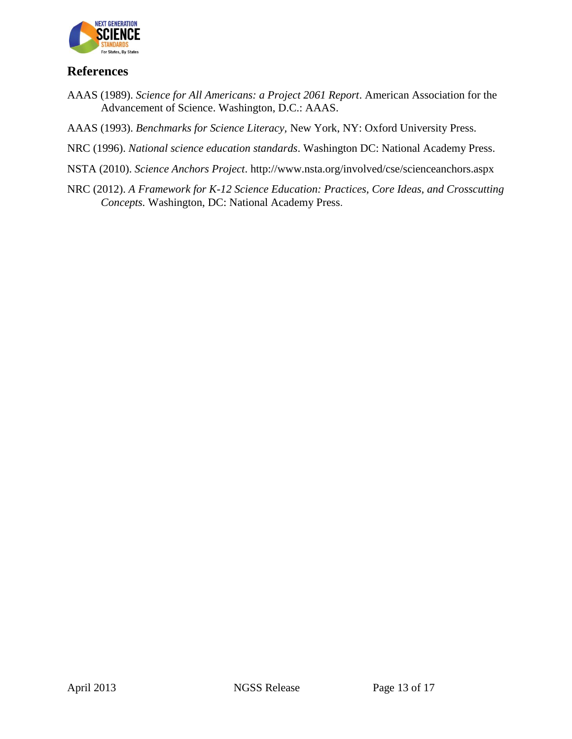

## **References**

- AAAS (1989). *Science for All Americans: a Project 2061 Report*. American Association for the Advancement of Science. Washington, D.C.: AAAS.
- AAAS (1993). *Benchmarks for Science Literacy,* New York, NY: Oxford University Press.
- NRC (1996). *National science education standards*. Washington DC: National Academy Press.
- NSTA (2010). *Science Anchors Project*. http://www.nsta.org/involved/cse/scienceanchors.aspx
- NRC (2012). *A Framework for K-12 Science Education: Practices, Core Ideas, and Crosscutting Concepts.* Washington, DC: National Academy Press.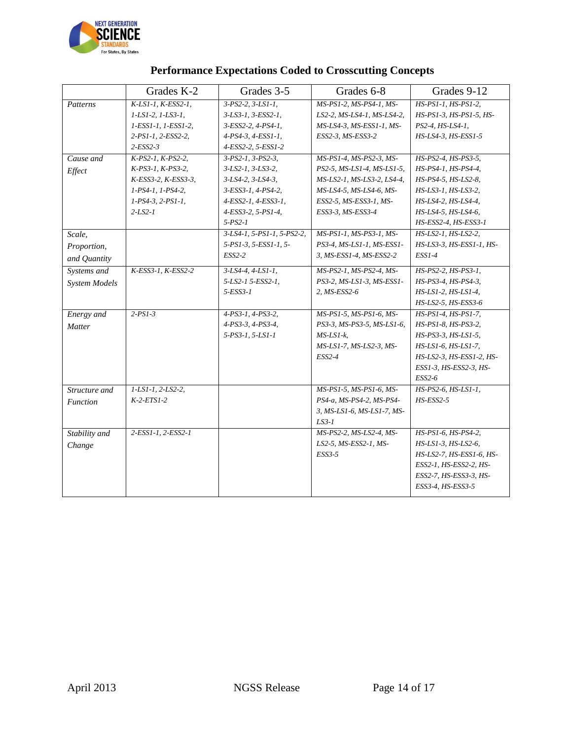

|                      | Grades K-2                      | Grades 3-5                 | Grades 6-8                 | Grades 9-12              |
|----------------------|---------------------------------|----------------------------|----------------------------|--------------------------|
| Patterns             | K-LS1-1, K-ESS2-1,              | $3-PS2-2, 3-LS1-1$ ,       | MS-PS1-2, MS-PS4-1, MS-    | HS-PS1-1, HS-PS1-2,      |
|                      | $1 - LS1 - 2$ , $1 - LS3 - 1$ , | 3-LS3-1, 3-ESS2-1,         | LS2-2, MS-LS4-1, MS-LS4-2, | HS-PS1-3, HS-PS1-5, HS-  |
|                      | 1-ESS1-1, 1-ESS1-2,             | 3-ESS2-2, 4-PS4-1,         | MS-LS4-3, MS-ESS1-1, MS-   | PS2-4, HS-LS4-1,         |
|                      | 2-PS1-1, 2-ESS2-2,              | 4-PS4-3, 4-ESS1-1,         | ESS2-3, MS-ESS3-2          | HS-LS4-3, HS-ESS1-5      |
|                      | $2$ -ESS2-3                     | 4-ESS2-2, 5-ESS1-2         |                            |                          |
| Cause and            | $K-PS2-I, K-PS2-2,$             | $3-PS2-I, 3-PS2-3,$        | MS-PS1-4, MS-PS2-3, MS-    | HS-PS2-4, HS-PS3-5,      |
| Effect               | $K-PS3-1, K-PS3-2,$             | $3-LS2-1, 3-LS3-2,$        | PS2-5, MS-LS1-4, MS-LS1-5, | HS-PS4-1, HS-PS4-4,      |
|                      | K-ESS3-2, K-ESS3-3,             | $3-LS4-2, 3-LS4-3,$        | MS-LS2-1, MS-LS3-2, LS4-4, | HS-PS4-5, HS-LS2-8,      |
|                      | 1-PS4-1, 1-PS4-2,               | 3-ESS3-1, 4-PS4-2,         | MS-LS4-5, MS-LS4-6, MS-    | HS-LS3-1, HS-LS3-2,      |
|                      | $1-PS4-3, 2-PS1-1,$             | 4-ESS2-1, 4-ESS3-1,        | ESS2-5, MS-ESS3-1, MS-     | HS-LS4-2, HS-LS4-4,      |
|                      | $2 - LS2 - 1$                   | 4-ESS3-2, 5-PS1-4,         | ESS3-3, MS-ESS3-4          | HS-LS4-5, HS-LS4-6,      |
|                      |                                 | $5 - PS2 - 1$              |                            | HS-ESS2-4, HS-ESS3-1     |
| Scale,               |                                 | 3-LS4-1, 5-PS1-1, 5-PS2-2, | MS-PS1-1, MS-PS3-1, MS-    | HS-LS2-1, HS-LS2-2,      |
| Proportion,          |                                 | 5-PS1-3, 5-ESS1-1, 5-      | PS3-4, MS-LS1-1, MS-ESS1-  | HS-LS3-3, HS-ESS1-1, HS- |
| and Quantity         |                                 | $ESS2-2$                   | 3, MS-ESS1-4, MS-ESS2-2    | $ESSI-4$                 |
| Systems and          | K-ESS3-1, K-ESS2-2              | $3-LS4-4, 4-LS1-1,$        | MS-PS2-1, MS-PS2-4, MS-    | HS-PS2-2. HS-PS3-1.      |
| <b>System Models</b> |                                 | 5-LS2-1 5-ESS2-1.          | PS3-2, MS-LS1-3, MS-ESS1-  | HS-PS3-4, HS-PS4-3,      |
|                      |                                 | $5-ESS3-1$                 | 2, MS-ESS2-6               | HS-LS1-2, HS-LS1-4,      |
|                      |                                 |                            |                            | HS-LS2-5, HS-ESS3-6      |
| Energy and           | $2-PSI-3$                       | $4-PS3-1, 4-PS3-2,$        | MS-PS1-5, MS-PS1-6, MS-    | HS-PS1-4, HS-PS1-7,      |
| Matter               |                                 | 4-PS3-3, 4-PS3-4,          | PS3-3, MS-PS3-5, MS-LS1-6, | HS-PS1-8, HS-PS3-2,      |
|                      |                                 | 5-PS3-1, 5-LS1-1           | $MS$ -LS1- $k$ .           | HS-PS3-3, HS-LS1-5,      |
|                      |                                 |                            | MS-LS1-7, MS-LS2-3, MS-    | $HS$ -LS1-6, HS-LS1-7,   |
|                      |                                 |                            | $ESS2-4$                   | HS-LS2-3, HS-ESS1-2, HS- |
|                      |                                 |                            |                            | ESS1-3, HS-ESS2-3, HS-   |
|                      |                                 |                            |                            | $ESS2-6$                 |
| Structure and        | $1-LSI-1, 2-LS2-2,$             |                            | MS-PS1-5, MS-PS1-6, MS-    | HS-PS2-6, HS-LS1-1,      |
| <i>Function</i>      | $K-2-ETS1-2$                    |                            | PS4-a, MS-PS4-2, MS-PS4-   | $HS$ - $ESS2$ -5         |
|                      |                                 |                            | 3, MS-LS1-6, MS-LS1-7, MS- |                          |
|                      |                                 |                            | $LS3-1$                    |                          |
| Stability and        | 2-ESS1-1, 2-ESS2-1              |                            | MS-PS2-2, MS-LS2-4, MS-    | HS-PS1-6, HS-PS4-2,      |
| Change               |                                 |                            | LS2-5, MS-ESS2-1, MS-      | HS-LS1-3, HS-LS2-6,      |
|                      |                                 |                            | ESS3-5                     | HS-LS2-7, HS-ESS1-6, HS- |
|                      |                                 |                            |                            | ESS2-1, HS-ESS2-2, HS-   |
|                      |                                 |                            |                            | ESS2-7, HS-ESS3-3, HS-   |
|                      |                                 |                            |                            | ESS3-4, HS-ESS3-5        |
|                      |                                 |                            |                            |                          |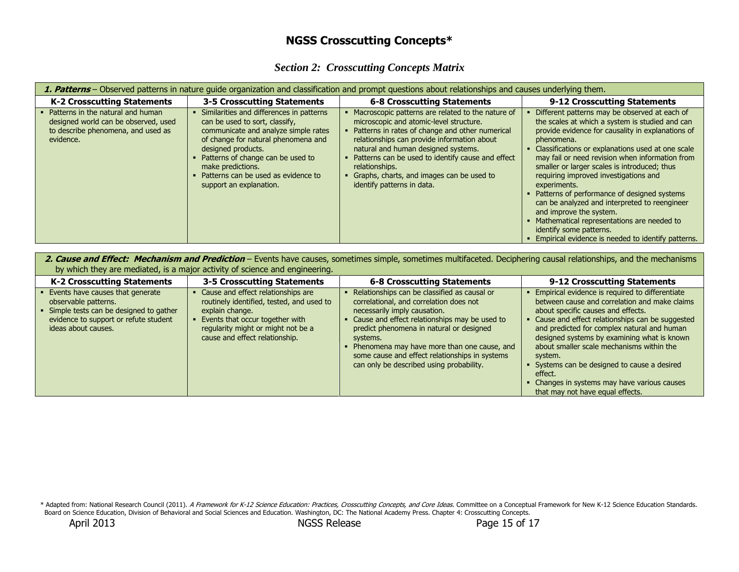## **NGSS Crosscutting Concepts\***

|  | <b>Section 2: Crosscutting Concepts Matrix</b> |  |
|--|------------------------------------------------|--|
|  |                                                |  |

| 1. Patterns – Observed patterns in nature guide organization and classification and prompt questions about relationships and causes underlying them. |                                                                                                                                                                                                                                                                                                             |                                                                                                                                                                                                                                                                                                                                                                                         |                                                                                                                                                                                                                                                                                                                                                                                                                                                                                                                                                                                                                                                  |  |
|------------------------------------------------------------------------------------------------------------------------------------------------------|-------------------------------------------------------------------------------------------------------------------------------------------------------------------------------------------------------------------------------------------------------------------------------------------------------------|-----------------------------------------------------------------------------------------------------------------------------------------------------------------------------------------------------------------------------------------------------------------------------------------------------------------------------------------------------------------------------------------|--------------------------------------------------------------------------------------------------------------------------------------------------------------------------------------------------------------------------------------------------------------------------------------------------------------------------------------------------------------------------------------------------------------------------------------------------------------------------------------------------------------------------------------------------------------------------------------------------------------------------------------------------|--|
| <b>K-2 Crosscutting Statements</b>                                                                                                                   | 3-5 Crosscutting Statements                                                                                                                                                                                                                                                                                 | <b>6-8 Crosscutting Statements</b>                                                                                                                                                                                                                                                                                                                                                      | 9-12 Crosscutting Statements                                                                                                                                                                                                                                                                                                                                                                                                                                                                                                                                                                                                                     |  |
| Patterns in the natural and human<br>designed world can be observed, used<br>to describe phenomena, and used as<br>evidence.                         | Similarities and differences in patterns<br>can be used to sort, classify,<br>communicate and analyze simple rates<br>of change for natural phenomena and<br>designed products.<br>Patterns of change can be used to<br>make predictions.<br>Patterns can be used as evidence to<br>support an explanation. | Macroscopic patterns are related to the nature of<br>microscopic and atomic-level structure.<br>Patterns in rates of change and other numerical<br>relationships can provide information about<br>natural and human designed systems.<br>Patterns can be used to identify cause and effect<br>relationships.<br>Graphs, charts, and images can be used to<br>identify patterns in data. | Different patterns may be observed at each of<br>the scales at which a system is studied and can<br>provide evidence for causality in explanations of<br>phenomena.<br>Classifications or explanations used at one scale<br>may fail or need revision when information from<br>smaller or larger scales is introduced; thus<br>requiring improved investigations and<br>experiments.<br>Patterns of performance of designed systems<br>can be analyzed and interpreted to reengineer<br>and improve the system.<br>• Mathematical representations are needed to<br>identify some patterns.<br>Empirical evidence is needed to identify patterns. |  |

2. Cause and Effect: Mechanism and Prediction – Events have causes, sometimes simple, sometimes multifaceted. Deciphering causal relationships, and the mechanisms by which they are mediated, is a major activity of science and engineering.

| <b>K-2 Crosscutting Statements</b>                                                                                                                                 | 3-5 Crosscutting Statements                                                                                                                                                                                   | <b>6-8 Crosscutting Statements</b>                                                                                                                                                                                                                                                                                                                                            | 9-12 Crosscutting Statements                                                                                                                                                                                                                                                                                                                                                                                                                                                               |
|--------------------------------------------------------------------------------------------------------------------------------------------------------------------|---------------------------------------------------------------------------------------------------------------------------------------------------------------------------------------------------------------|-------------------------------------------------------------------------------------------------------------------------------------------------------------------------------------------------------------------------------------------------------------------------------------------------------------------------------------------------------------------------------|--------------------------------------------------------------------------------------------------------------------------------------------------------------------------------------------------------------------------------------------------------------------------------------------------------------------------------------------------------------------------------------------------------------------------------------------------------------------------------------------|
| Events have causes that generate<br>observable patterns.<br>Simple tests can be designed to gather<br>evidence to support or refute student<br>ideas about causes. | Cause and effect relationships are<br>routinely identified, tested, and used to<br>explain change.<br>Events that occur together with<br>regularity might or might not be a<br>cause and effect relationship. | Relationships can be classified as causal or<br>correlational, and correlation does not<br>necessarily imply causation.<br>Cause and effect relationships may be used to<br>predict phenomena in natural or designed<br>systems.<br>Phenomena may have more than one cause, and<br>some cause and effect relationships in systems<br>can only be described using probability. | Empirical evidence is required to differentiate<br>between cause and correlation and make claims<br>about specific causes and effects.<br>Cause and effect relationships can be suggested<br>and predicted for complex natural and human<br>designed systems by examining what is known<br>about smaller scale mechanisms within the<br>system.<br>Systems can be designed to cause a desired<br>effect.<br>Changes in systems may have various causes<br>that may not have equal effects. |

\* Adapted from: National Research Council (2011). *A Framework for K-12 Science Education: Practices, Crosscutting Concepts, and Core Ideas.* Committee on a Conceptual Framework for New K-12 Science Education Standards. Board on Science Education, Division of Behavioral and Social Sciences and Education. Washington, DC: The National Academy Press. Chapter 4: Crosscutting Concepts.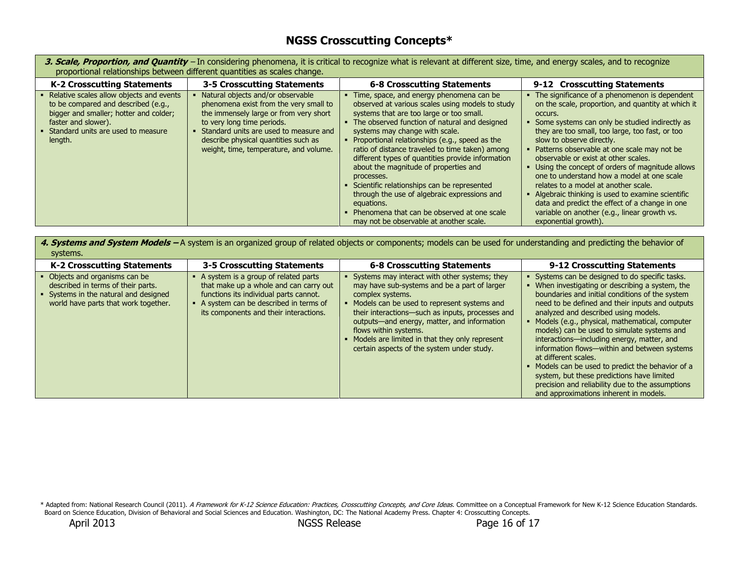## **NGSS Crosscutting Concepts\***

| 3. Scale, Proportion, and Quantity - In considering phenomena, it is critical to recognize what is relevant at different size, time, and energy scales, and to recognize<br>proportional relationships between different quantities as scales change. |                                                                                                                                                                                                                                                                                 |                                                                                                                                                                                                                                                                                                                                                                                                                                                                                                                                                                                                                                                               |                                                                                                                                                                                                                                                                                                                                                                                                                                                                                                                                                                                                                                                                  |
|-------------------------------------------------------------------------------------------------------------------------------------------------------------------------------------------------------------------------------------------------------|---------------------------------------------------------------------------------------------------------------------------------------------------------------------------------------------------------------------------------------------------------------------------------|---------------------------------------------------------------------------------------------------------------------------------------------------------------------------------------------------------------------------------------------------------------------------------------------------------------------------------------------------------------------------------------------------------------------------------------------------------------------------------------------------------------------------------------------------------------------------------------------------------------------------------------------------------------|------------------------------------------------------------------------------------------------------------------------------------------------------------------------------------------------------------------------------------------------------------------------------------------------------------------------------------------------------------------------------------------------------------------------------------------------------------------------------------------------------------------------------------------------------------------------------------------------------------------------------------------------------------------|
| <b>K-2 Crosscutting Statements</b>                                                                                                                                                                                                                    | 3-5 Crosscutting Statements                                                                                                                                                                                                                                                     | <b>6-8 Crosscutting Statements</b>                                                                                                                                                                                                                                                                                                                                                                                                                                                                                                                                                                                                                            | 9-12 Crosscutting Statements                                                                                                                                                                                                                                                                                                                                                                                                                                                                                                                                                                                                                                     |
| Relative scales allow objects and events<br>to be compared and described (e.g.,<br>bigger and smaller; hotter and colder;<br>faster and slower).<br>Standard units are used to measure<br>length.                                                     | Natural objects and/or observable<br>phenomena exist from the very small to<br>the immensely large or from very short<br>to very long time periods.<br>Standard units are used to measure and<br>describe physical quantities such as<br>weight, time, temperature, and volume. | • Time, space, and energy phenomena can be<br>observed at various scales using models to study<br>systems that are too large or too small.<br>• The observed function of natural and designed<br>systems may change with scale.<br>• Proportional relationships (e.g., speed as the<br>ratio of distance traveled to time taken) among<br>different types of quantities provide information<br>about the magnitude of properties and<br>processes.<br>• Scientific relationships can be represented<br>through the use of algebraic expressions and<br>equations.<br>• Phenomena that can be observed at one scale<br>may not be observable at another scale. | • The significance of a phenomenon is dependent<br>on the scale, proportion, and quantity at which it<br>occurs.<br>Some systems can only be studied indirectly as<br>they are too small, too large, too fast, or too<br>slow to observe directly.<br>Patterns observable at one scale may not be<br>observable or exist at other scales.<br>Using the concept of orders of magnitude allows<br>one to understand how a model at one scale<br>relates to a model at another scale.<br>Algebraic thinking is used to examine scientific<br>data and predict the effect of a change in one<br>variable on another (e.g., linear growth vs.<br>exponential growth). |

4. Systems and System Models – A system is an organized group of related objects or components; models can be used for understanding and predicting the behavior of systems.

| --------                                                                                                                                            |                                                                                                                                                                                                               |                                                                                                                                                                                                                                                                                                                                                                                                |                                                                                                                                                                                                                                                                                                                                                                                                                                                                                                                                                                                                                                                                     |
|-----------------------------------------------------------------------------------------------------------------------------------------------------|---------------------------------------------------------------------------------------------------------------------------------------------------------------------------------------------------------------|------------------------------------------------------------------------------------------------------------------------------------------------------------------------------------------------------------------------------------------------------------------------------------------------------------------------------------------------------------------------------------------------|---------------------------------------------------------------------------------------------------------------------------------------------------------------------------------------------------------------------------------------------------------------------------------------------------------------------------------------------------------------------------------------------------------------------------------------------------------------------------------------------------------------------------------------------------------------------------------------------------------------------------------------------------------------------|
| <b>K-2 Crosscutting Statements</b>                                                                                                                  | 3-5 Crosscutting Statements                                                                                                                                                                                   | 6-8 Crosscutting Statements                                                                                                                                                                                                                                                                                                                                                                    | 9-12 Crosscutting Statements                                                                                                                                                                                                                                                                                                                                                                                                                                                                                                                                                                                                                                        |
| • Objects and organisms can be<br>described in terms of their parts.<br>Systems in the natural and designed<br>world have parts that work together. | • A system is a group of related parts<br>that make up a whole and can carry out<br>functions its individual parts cannot.<br>A system can be described in terms of<br>its components and their interactions. | Systems may interact with other systems; they<br>may have sub-systems and be a part of larger<br>complex systems.<br>Models can be used to represent systems and<br>their interactions—such as inputs, processes and<br>outputs—and energy, matter, and information<br>flows within systems.<br>• Models are limited in that they only represent<br>certain aspects of the system under study. | Systems can be designed to do specific tasks.<br>When investigating or describing a system, the<br>boundaries and initial conditions of the system<br>need to be defined and their inputs and outputs<br>analyzed and described using models.<br>Models (e.g., physical, mathematical, computer<br>models) can be used to simulate systems and<br>interactions—including energy, matter, and<br>information flows—within and between systems<br>at different scales.<br>Models can be used to predict the behavior of a<br>system, but these predictions have limited<br>precision and reliability due to the assumptions<br>and approximations inherent in models. |

\* Adapted from: National Research Council (2011). *A Framework for K-12 Science Education: Practices, Crosscutting Concepts, and Core Ideas.* Committee on a Conceptual Framework for New K-12 Science Education Standards. Board on Science Education, Division of Behavioral and Social Sciences and Education. Washington, DC: The National Academy Press. Chapter 4: Crosscutting Concepts.